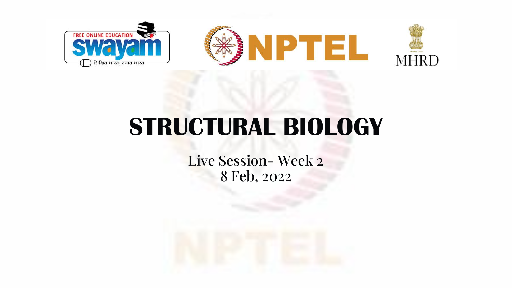

# **STRUCTURAL BIOLOGY**

Live Session- Week 2 8 Feb, 2022

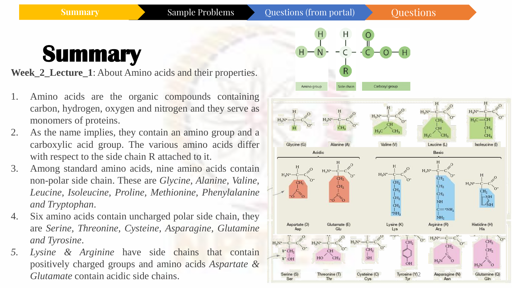**Summary** Sample Problems Questions (from portal) Questions

### **Summary**

**Week\_2\_Lecture\_1**: About Amino acids and their properties.

- 1. Amino acids are the organic compounds containing carbon, hydrogen, oxygen and nitrogen and they serve as monomers of proteins.
- 2. As the name implies, they contain an amino group and a carboxylic acid group. The various amino acids differ with respect to the side chain R attached to it.
- 3. Among standard amino acids, nine amino acids contain non-polar side chain. These are *Glycine, Alanine, Valine, Leucine, Isoleucine, Proline, Methionine, Phenylalanine and Tryptophan*.
- 4. Six amino acids contain uncharged polar side chain, they are *Serine, Threonine, Cysteine, Asparagine, Glutamine and Tyrosine*.
- *5. Lysine & Arginine* have side chains that contain positively charged groups and amino acids *Aspartate & Glutamate* contain acidic side chains.

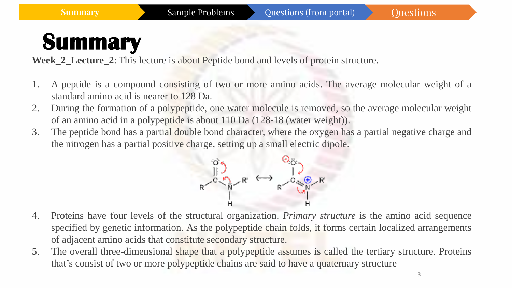**Week 2 Lecture 2:** This lecture is about Peptide bond and levels of protein structure.

- 1. A peptide is a compound consisting of two or more amino acids. The average molecular weight of a standard amino acid is nearer to 128 Da.
- 2. During the formation of a polypeptide, one water molecule is removed, so the average molecular weight of an amino acid in a polypeptide is about 110 Da (128-18 (water weight)).
- 3. The peptide bond has a partial double bond character, where the oxygen has a partial negative charge and the nitrogen has a partial positive charge, setting up a small electric dipole.



- 4. Proteins have four levels of the structural organization. *Primary structure* is the amino acid sequence specified by genetic information. As the polypeptide chain folds, it forms certain localized arrangements of adjacent amino acids that constitute secondary structure.
- 5. The overall three-dimensional shape that a polypeptide assumes is called the tertiary structure. Proteins that's consist of two or more polypeptide chains are said to have a quaternary structure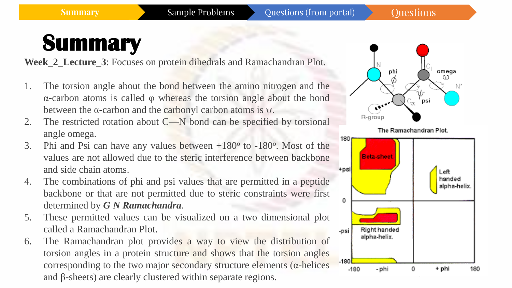**Week\_2\_Lecture\_3**: Focuses on protein dihedrals and Ramachandran Plot.

- 1. The torsion angle about the bond between the amino nitrogen and the α-carbon atoms is called φ whereas the torsion angle about the bond between the  $\alpha$ -carbon and the carbonyl carbon atoms is  $\psi$ .
- 2. The restricted rotation about C—N bond can be specified by torsional angle omega.
- 3. Phi and Psi can have any values between  $+180^\circ$  to  $-180^\circ$ . Most of the values are not allowed due to the steric interference between backbone and side chain atoms.
- 4. The combinations of phi and psi values that are permitted in a peptide backbone or that are not permitted due to steric constraints were first determined by *G N Ramachandra*.
- 5. These permitted values can be visualized on a two dimensional plot called a Ramachandran Plot.
- 6. The Ramachandran plot provides a way to view the distribution of torsion angles in a protein structure and shows that the torsion angles corresponding to the two major secondary structure elements ( $\alpha$ -helices and β-sheets) are clearly clustered within separate regions.

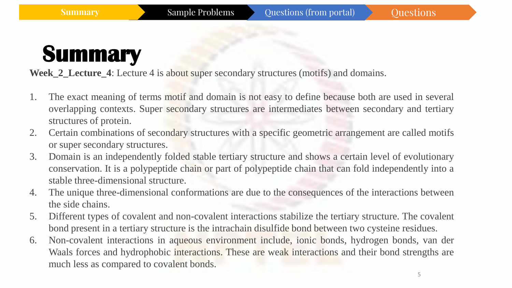**Week\_2\_Lecture\_4**: Lecture 4 is about super secondary structures (motifs) and domains.

- 1. The exact meaning of terms motif and domain is not easy to define because both are used in several overlapping contexts. Super secondary structures are intermediates between secondary and tertiary structures of protein.
- 2. Certain combinations of secondary structures with a specific geometric arrangement are called motifs or super secondary structures.
- 3. Domain is an independently folded stable tertiary structure and shows a certain level of evolutionary conservation. It is a polypeptide chain or part of polypeptide chain that can fold independently into a stable three-dimensional structure.
- 4. The unique three-dimensional conformations are due to the consequences of the interactions between the side chains.
- 5. Different types of covalent and non-covalent interactions stabilize the tertiary structure. The covalent bond present in a tertiary structure is the intrachain disulfide bond between two cysteine residues.
- 6. Non-covalent interactions in aqueous environment include, ionic bonds, hydrogen bonds, van der Waals forces and hydrophobic interactions. These are weak interactions and their bond strengths are much less as compared to covalent bonds.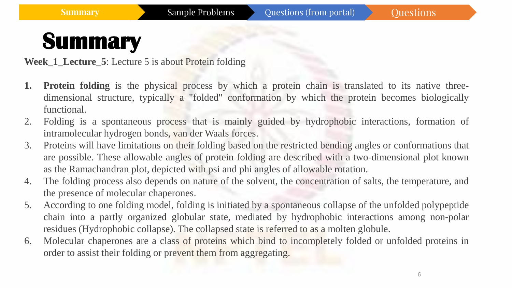**Week 1 Lecture 5:** Lecture 5 is about Protein folding

- **1. Protein folding** is the physical process by which a protein chain is translated to its native threedimensional structure, typically a "folded" conformation by which the protein becomes biologically functional.
- 2. Folding is a spontaneous process that is mainly guided by hydrophobic interactions, formation of intramolecular hydrogen bonds, van der Waals forces.
- 3. Proteins will have limitations on their folding based on the restricted bending angles or conformations that are possible. These allowable angles of protein folding are described with a two-dimensional plot known as the Ramachandran plot, depicted with psi and phi angles of allowable rotation.
- 4. The folding process also depends on nature of the solvent, the concentration of salts, the temperature, and the presence of molecular chaperones.
- 5. According to one folding model, folding is initiated by a spontaneous collapse of the unfolded polypeptide chain into a partly organized globular state, mediated by hydrophobic interactions among non-polar residues (Hydrophobic collapse). The collapsed state is referred to as a molten globule.
- 6. Molecular chaperones are a class of proteins which bind to incompletely folded or unfolded proteins in order to assist their folding or prevent them from aggregating.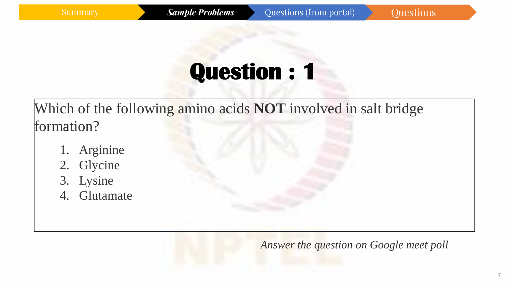Which of the following amino acids **NOT** involved in salt bridge formation?

- 1. Arginine
- 2. Glycine
- 3. Lysine
- 4. Glutamate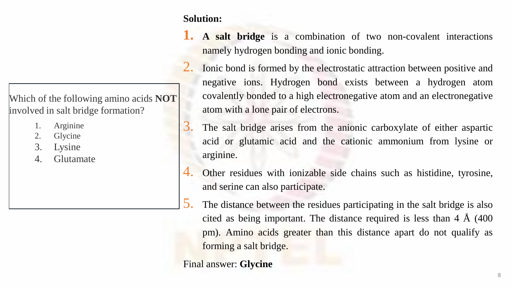Which of the following amino acids **NOT**  involved in salt bridge formation?

- 1. Arginine
- 2. Glycine
- 3. Lysine
- 4. Glutamate

**Solution:**

- **1. A salt bridge** is a combination of two non-covalent interactions namely hydrogen bonding and ionic bonding.
- Ionic bond is formed by the electrostatic attraction between positive and negative ions. Hydrogen bond exists between a hydrogen atom covalently bonded to a high electronegative atom and an electronegative atom with a lone pair of electrons.
- 3. The salt bridge arises from the anionic carboxylate of either aspartic acid or glutamic acid and the cationic ammonium from lysine or arginine.
- 4. Other residues with ionizable side chains such as histidine, tyrosine, and serine can also participate.
- 5. The distance between the residues participating in the salt bridge is also cited as being important. The distance required is less than 4 Å (400 pm). Amino acids greater than this distance apart do not qualify as forming a salt bridge.

Final answer: **Glycine**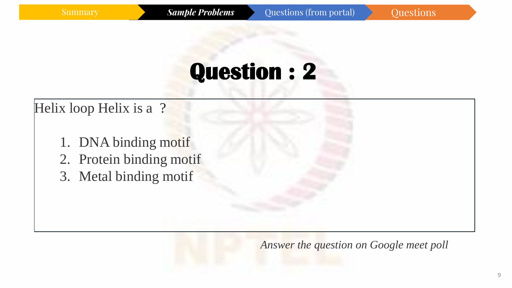#### Helix loop Helix is a ?

- 1. DNA binding motif 2. Protein binding motif
- 3. Metal binding motif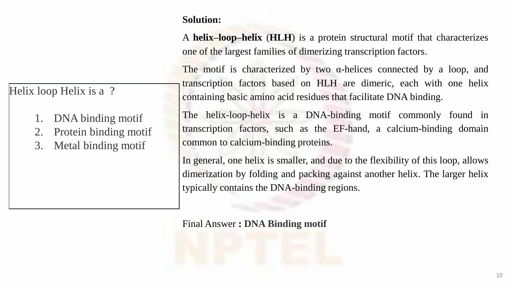A **helix–loop–helix** (**HLH**) is a protein structural motif that characterizes one of the largest families of dimerizing transcription factors.

The motif is characterized by two  $\alpha$ -helices connected by a loop, and transcription factors based on HLH are dimeric, each with one helix containing basic amino acid residues that facilitate DNA binding.

The helix-loop-helix is a DNA-binding motif commonly found in transcription factors, such as the EF-hand, a calcium-binding domain common to calcium-binding proteins.

In general, one helix is smaller, and due to the flexibility of this loop, allows dimerization by folding and packing against another helix. The larger helix typically contains the DNA-binding regions.

Final Answer **: DNA Binding motif**

#### Helix loop Helix is a ?

- 1. DNA binding motif
- 2. Protein binding motif
- 3. Metal binding motif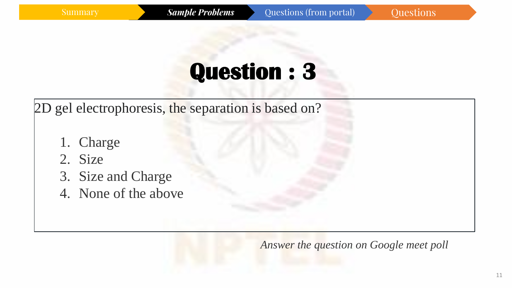2D gel electrophoresis, the separation is based on?

- 1. Charge
- 2. Size
- 3. Size and Charge
- 4. None of the above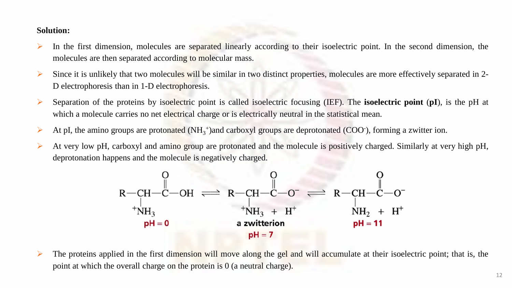- ➢ In the first dimension, molecules are separated linearly according to their isoelectric point. In the second dimension, the molecules are then separated according to molecular mass.
- $\triangleright$  Since it is unlikely that two molecules will be similar in two distinct properties, molecules are more effectively separated in 2-D electrophoresis than in 1-D electrophoresis.
- ➢ Separation of the proteins by isoelectric point is called isoelectric focusing (IEF). The **isoelectric point** (**pI**), is the pH at which a molecule carries no net electrical charge or is electrically neutral in the statistical mean.
- At pI, the amino groups are protonated  $(NH_3^+)$  and carboxyl groups are deprotonated (COO $\cdot$ ), forming a zwitter ion.
- ➢ At very low pH, carboxyl and amino group are protonated and the molecule is positively charged. Similarly at very high pH, deprotonation happens and the molecule is negatively charged.

$$
R - CH - C - OH \rightleftharpoons R - CH - C - O \rightleftharpoons R - CH - C - O \leftleftharpoons R - CH - C - O \leftleftharpoons R - CH - C - O \leftleftharpoons R - CH - C - O \leftleftharpoons R - CH - C - O \leftleftharpoons R - CH - C - O \leftleftharpoons R - CH - C - O \leftleftharpoons R - CH - C - O \leftleftharpoons R - CH - O \leftleftharpoons R - CH - O \leftleftharpoons R - CH - O \leftleftharpoons R - CH - O \leftleftharpoons R - CH - O \leftleftharpoons R - CH - O \leftleftharpoons R - CH - O \leftleftharpoons R - CH - O \leftleftharpoons R - CH - O \leftleftharpoons R - CH - O \leftleftharpoons R - CH - O \leftleftharpoons R - CH - O \leftleftharpoons R - CH - O \leftleftharpoons R - CH - O \leftleftharpoons R - CH - O \leftleftharpoons R - CH - O \leftleftharpoons R - CH - O \leftleftharpoons R - CH - O \leftleftharpoons R - CH - O \leftleftharpoons R - CH - O \leftleftharpoons R - CH - O \leftleftharpoons R - CH - O \leftleftharpoons R - CH - O \leftleftharpoons R - CH - O \leftleftharpoons R - CH - O \leftleftharpoons R - CH - O \leftleftharpoons R - CH - O \leftleftharpoons R - CH - O \leftleftharpoons R - CH - O \leftleftharpoons R - CH - O \leftleftharpoons R - CH - O \leftleftharpoons R - CH - O \leftleftharpoons R - CH - O \leftleftharpoons R - CH - O \leftleftharpoons R - CH - O \leftleftharpoons R - CH - O \leftleftharpoons R - CH - O \leftleftharpoons R - CH - O \leftleftharpoons R - CH - O \leftleftharpoons R - CH - O \leftleftharpoons R - CH - O \leftleftharpoons R - CH - O \leftleftharpoons R - CH - O \leftleftharpoons R - CH - O \leftleftharpoons R - CH - O \leftleftharpoons R - H \leftleftharpoons R - H \leftleftharpoons R - H \leftleftharpoons R - H \leftleftharpoons R - H \leftleftharpoons R - H \leftleftharpoons R - H \leftleftharpoons R - H \leftleftharpoons R - H \leftleftharpoons R - H \leftleftharpoons R - H \leftleftharpoons R - H \leftleftharpoons R - H \leftleftharpoons R - H \leftleftharpoons R - H \leftlefthar
$$

 $\triangleright$  The proteins applied in the first dimension will move along the gel and will accumulate at their isoelectric point; that is, the point at which the overall charge on the protein is 0 (a neutral charge).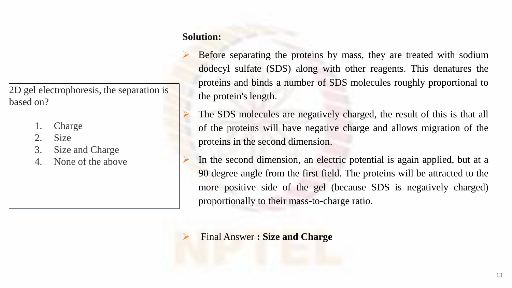- Before separating the proteins by mass, they are treated with sodium dodecyl sulfate (SDS) along with other reagents. This denatures the proteins and binds a number of SDS molecules roughly proportional to the protein's length.
- The SDS molecules are negatively charged, the result of this is that all of the proteins will have negative charge and allows migration of the proteins in the second dimension.
- In the second dimension, an electric potential is again applied, but at a 90 degree angle from the first field. The proteins will be attracted to the more positive side of the gel (because SDS is negatively charged) proportionally to their mass-to-charge ratio.

➢ Final Answer **: Size and Charge**

2D gel electrophoresis, the separation is based on?

- 1. Charge
- 2. Size
- 3. Size and Charge
- 4. None of the above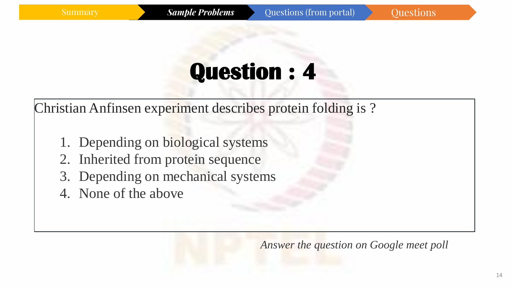Christian Anfinsen experiment describes protein folding is ?

- 1. Depending on biological systems
- 2. Inherited from protein sequence
- 3. Depending on mechanical systems
- 4. None of the above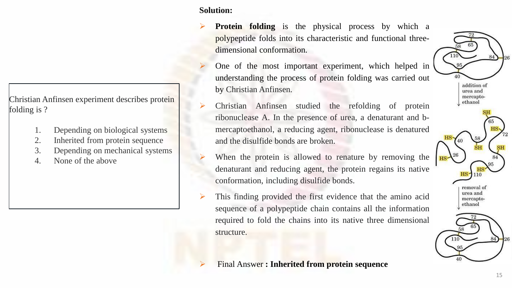Christian Anfinsen experiment describes protein folding is ?

- 1. Depending on biological systems
- 2. Inherited from protein sequence
- 3. Depending on mechanical systems
- 4. None of the above

#### **Solution:**

- ➢ **Protein folding** is the physical process by which a polypeptide folds into its characteristic and functional threedimensional conformation.
- ➢ One of the most important experiment, which helped in understanding the process of protein folding was carried out by Christian Anfinsen.
- ➢ Christian Anfinsen studied the refolding of protein ribonuclease A. In the presence of urea, a denaturant and bmercaptoethanol, a reducing agent, ribonuclease is denatured and the disulfide bonds are broken.
- When the protein is allowed to renature by removing the denaturant and reducing agent, the protein regains its native conformation, including disulfide bonds.
- This finding provided the first evidence that the amino acid sequence of a polypeptide chain contains all the information required to fold the chains into its native three dimensional structure.
	- ➢ Final Answer **: Inherited from protein sequence**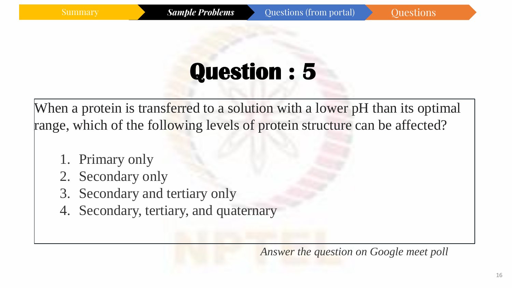When a protein is transferred to a solution with a lower pH than its optimal range, which of the following levels of protein structure can be affected?

- 1. Primary only
- 2. Secondary only
- 3. Secondary and tertiary only
- 4. Secondary, tertiary, and quaternary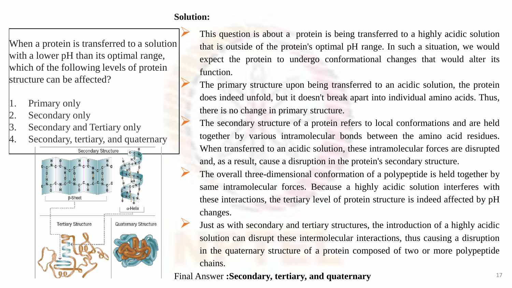When a protein is transferred to a solution with a lower pH than its optimal range, which of the following levels of protein structure can be affected?

- 1. Primary only
- 2. Secondary only
- 3. Secondary and Tertiary only
- Secondary, tertiary, and quaternary



This question is about a protein is being transferred to a highly acidic solution that is outside of the protein's optimal pH range. In such a situation, we would expect the protein to undergo conformational changes that would alter its function.

The primary structure upon being transferred to an acidic solution, the protein does indeed unfold, but it doesn't break apart into individual amino acids. Thus, there is no change in primary structure.

The secondary structure of a protein refers to local conformations and are held together by various intramolecular bonds between the amino acid residues. When transferred to an acidic solution, these intramolecular forces are disrupted and, as a result, cause a disruption in the protein's secondary structure.

The overall three-dimensional conformation of a polypeptide is held together by same intramolecular forces. Because a highly acidic solution interferes with these interactions, the tertiary level of protein structure is indeed affected by pH changes.

➢ Just as with secondary and tertiary structures, the introduction of <sup>a</sup> highly acidic solution can disrupt these intermolecular interactions, thus causing a disruption in the quaternary structure of a protein composed of two or more polypeptide chains.

Final Answer **:Secondary, tertiary, and quaternary**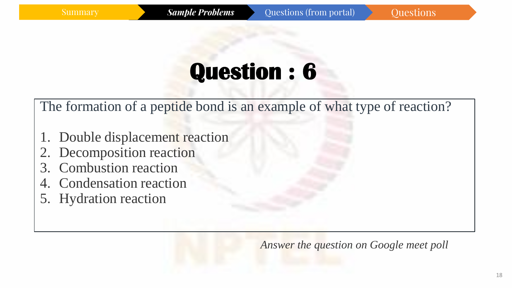The formation of a peptide bond is an example of what type of reaction?

- 1. Double displacement reaction
- 2. Decomposition reaction
- 3. Combustion reaction
- 4. Condensation reaction
- 5. Hydration reaction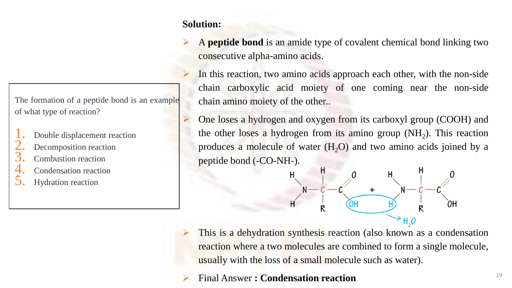- ➢ A **peptide bond** is an amide type of covalent chemical bond linking two consecutive alpha-amino acids.
- In this reaction, two amino acids approach each other, with the non-side chain carboxylic acid moiety of one coming near the non-side chain amino moiety of the other..
- One loses a hydrogen and oxygen from its carboxyl group (COOH) and the other loses a hydrogen from its amino group  $(NH<sub>2</sub>)$ . This reaction produces a molecule of water  $(H<sub>2</sub>O)$  and two amino acids joined by a peptide bond (-CO-NH-).



➢ This is a dehydration synthesis reaction (also known as a condensation reaction where a two molecules are combined to form a single molecule, usually with the loss of a small molecule such as water).

➢ Final Answer **: Condensation reaction**

The formation of a peptide bond is an example of what type of reaction?

- Double displacement reaction
- Decomposition reaction
- 3. Combustion reaction
- Condensation reaction
- 5. Hydration reaction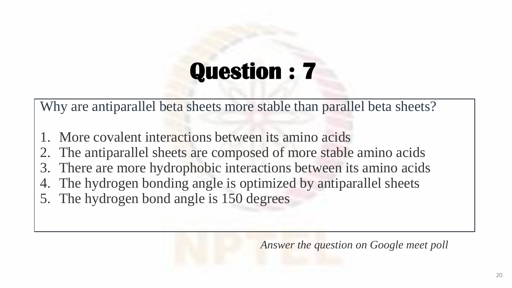Why are antiparallel beta sheets more stable than parallel beta sheets?

- 1. More covalent interactions between its amino acids
- 2. The antiparallel sheets are composed of more stable amino acids
- 3. There are more hydrophobic interactions between its amino acids
- 4. The hydrogen bonding angle is optimized by antiparallel sheets
- 5. The hydrogen bond angle is 150 degrees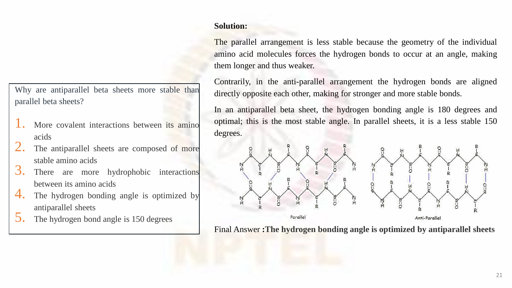The parallel arrangement is less stable because the geometry of the individual amino acid molecules forces the hydrogen bonds to occur at an angle, making them longer and thus weaker.

Contrarily, in the anti-parallel arrangement the hydrogen bonds are aligned directly opposite each other, making for stronger and more stable bonds.

In an antiparallel beta sheet, the hydrogen bonding angle is 180 degrees and optimal; this is the most stable angle. In parallel sheets, it is a less stable 150 degrees.



Final Answer **:The hydrogen bonding angle is optimized by antiparallel sheets**

Why are antiparallel beta sheets more stable than parallel beta sheets?

- More covalent interactions between its amino acids
- The antiparallel sheets are composed of more stable amino acids
- 3. There are more hydrophobic interactions between its amino acids
- 4. The hydrogen bonding angle is optimized by antiparallel sheets
- The hydrogen bond angle is 150 degrees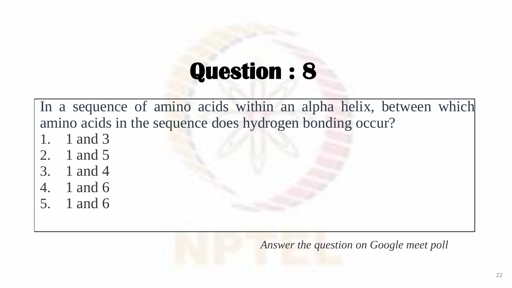In a sequence of amino acids within an alpha helix, between which amino acids in the sequence does hydrogen bonding occur?

- 1. 1 and 3
- 2. 1 and 5
- 3. 1 and 4
- 4. 1 and 6
- 5. 1 and 6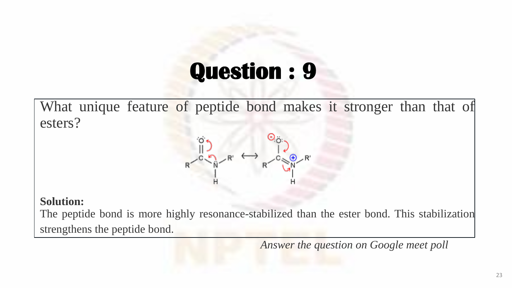What unique feature of peptide bond makes it stronger than that of esters?

#### **Solution:**

The peptide bond is more highly resonance-stabilized than the ester bond. This stabilization strengthens the peptide bond.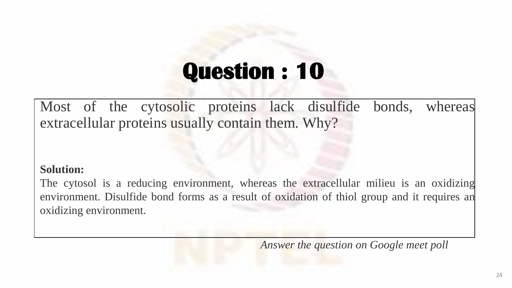Most of the cytosolic proteins lack disulfide bonds, whereas extracellular proteins usually contain them. Why?

#### **Solution:**

The cytosol is a reducing environment, whereas the extracellular milieu is an oxidizing environment. Disulfide bond forms as a result of oxidation of thiol group and it requires an oxidizing environment.